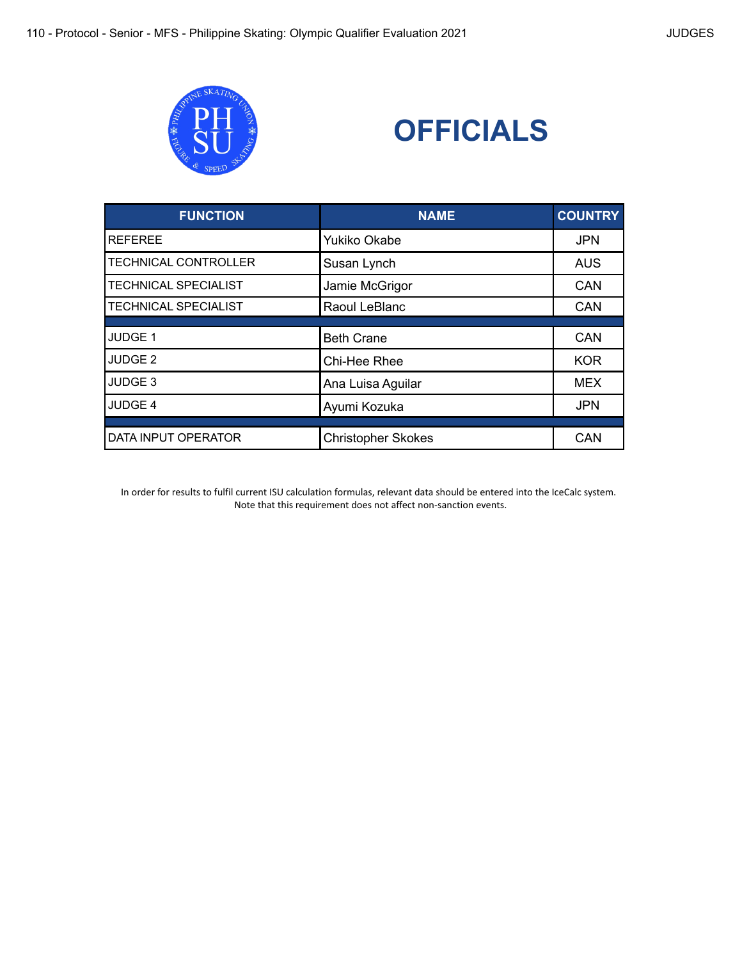



| <b>FUNCTION</b>             | <b>NAME</b>               | <b>COUNTRY</b> |
|-----------------------------|---------------------------|----------------|
| <b>REFEREE</b>              | Yukiko Okabe              | <b>JPN</b>     |
| <b>TECHNICAL CONTROLLER</b> | Susan Lynch               | <b>AUS</b>     |
| <b>TECHNICAL SPECIALIST</b> | Jamie McGrigor            | <b>CAN</b>     |
| <b>TECHNICAL SPECIALIST</b> | Raoul LeBlanc             | CAN            |
| JUDGE 1                     | <b>Beth Crane</b>         | <b>CAN</b>     |
| JUDGE <sub>2</sub>          | Chi-Hee Rhee              | <b>KOR</b>     |
| JUDGE <sub>3</sub>          | Ana Luisa Aguilar         | <b>MEX</b>     |
| JUDGE 4                     | Ayumi Kozuka              | <b>JPN</b>     |
|                             |                           |                |
| DATA INPUT OPERATOR         | <b>Christopher Skokes</b> | CAN            |

In order for results to fulfil current ISU calculation formulas, relevant data should be entered into the IceCalc system. Note that this requirement does not affect non-sanction events.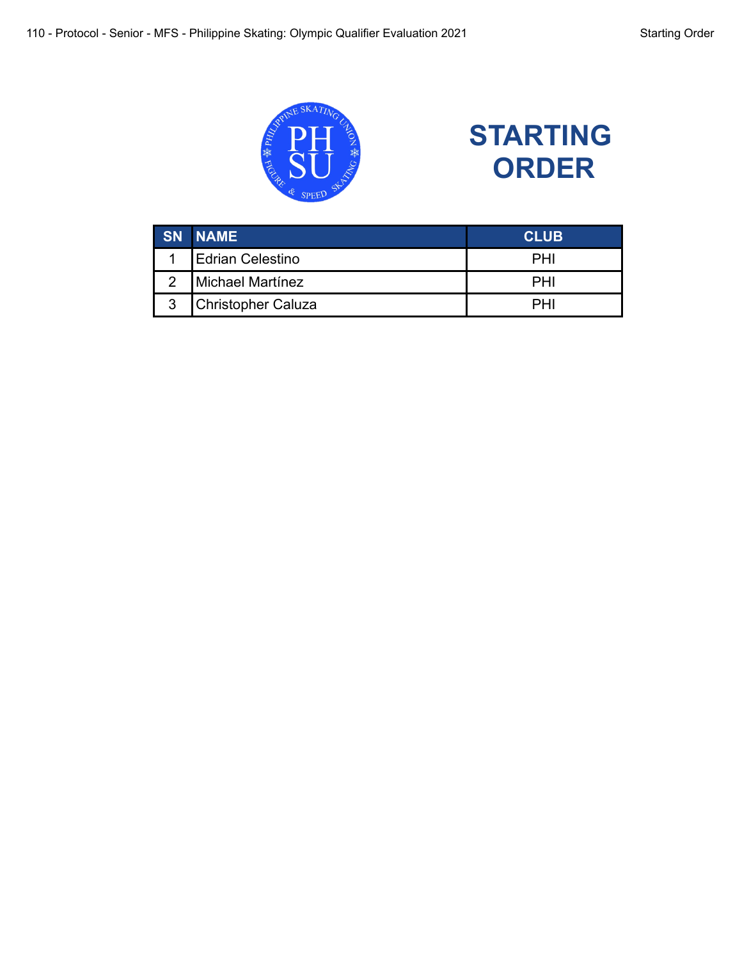



|   | <b>SN NAME</b>            | <b>CLUB</b> |
|---|---------------------------|-------------|
|   | <b>Edrian Celestino</b>   | PHI         |
|   | Michael Martínez          | PH'         |
| 3 | <b>Christopher Caluza</b> | PН          |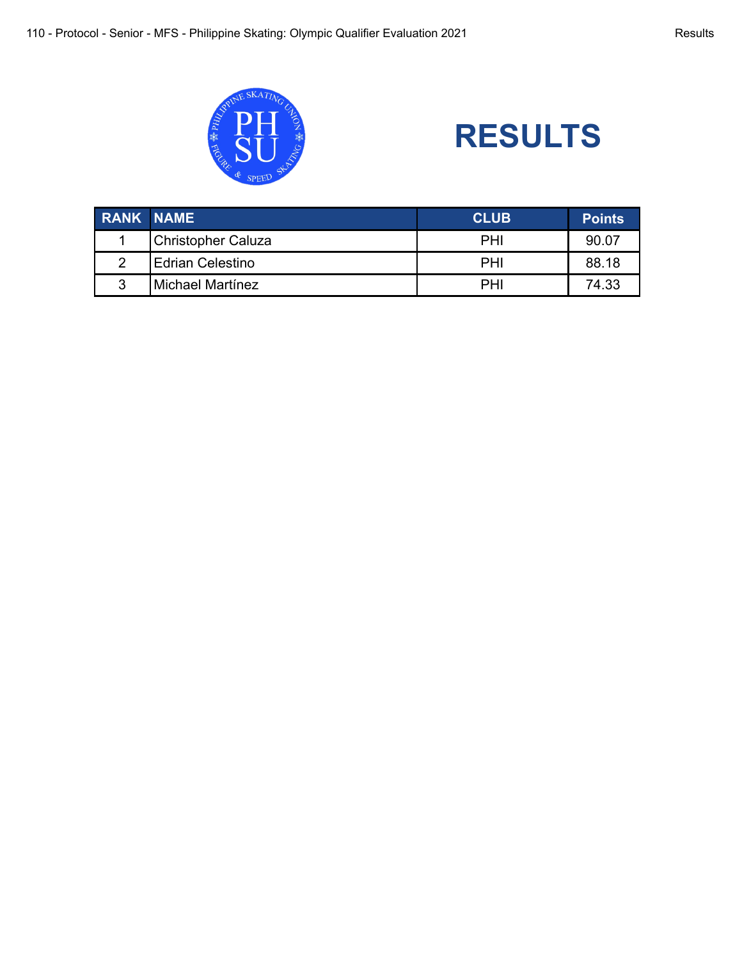

## **RESULTS**

| <b>RANK NAME</b> |                           | <b>CLUB</b> | <b>Points</b> |
|------------------|---------------------------|-------------|---------------|
|                  | <b>Christopher Caluza</b> | PHI         | 90.07         |
|                  | Edrian Celestino          | PHI         | 88.18         |
| ົ                | Michael Martínez          | PHI         | 74.33         |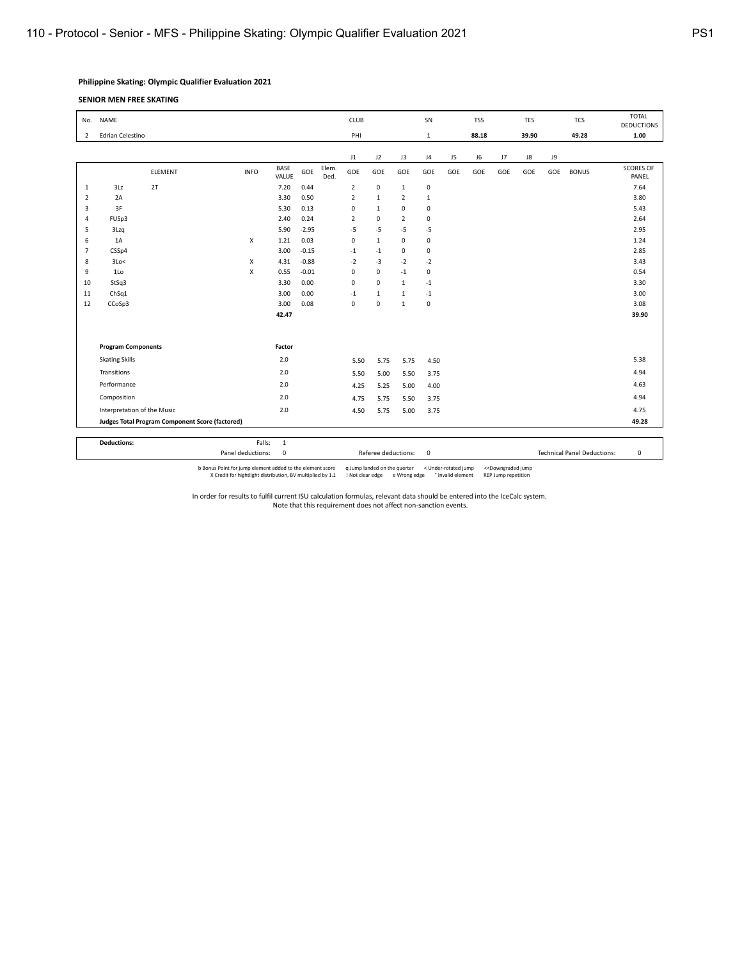## **Philippine Skating: Olympic Qualifier Evaluation 2021**

**SENIOR MEN FREE SKATING**

| <b>NAME</b><br>No. |                             |                                                 |             |               |         | <b>CLUB</b>   |                |                       |                |                |                | SN<br><b>TSS</b> |       |             |       | <b>TCS</b>   | <b>TOTAL</b><br><b>DEDUCTIONS</b> |
|--------------------|-----------------------------|-------------------------------------------------|-------------|---------------|---------|---------------|----------------|-----------------------|----------------|----------------|----------------|------------------|-------|-------------|-------|--------------|-----------------------------------|
| $\overline{2}$     | Edrian Celestino            |                                                 | PHI         |               |         |               |                | 88.18<br>$\mathbf{1}$ |                |                | 39.90          |                  | 49.28 | 1.00        |       |              |                                   |
|                    |                             |                                                 |             |               |         |               | $_{11}$        | J2                    | J3             | J <sub>4</sub> | J <sub>5</sub> | J <sub>6</sub>   | J7    | $_{\rm J8}$ | ور    |              |                                   |
|                    |                             | ELEMENT                                         | <b>INFO</b> | BASE<br>VALUE | GOE     | Elem.<br>Ded. | GOE            | GOE                   | GOE            | GOE            | GOE            | GOE              | GOE   | GOE         | GOE   | <b>BONUS</b> | <b>SCORES OF</b><br>PANEL         |
| 1                  | 3Lz                         | 2T                                              |             | 7.20          | 0.44    |               | $\overline{2}$ | $\bf 0$               | $\mathbf{1}$   | $\mathbf 0$    |                |                  |       |             |       |              | 7.64                              |
| $\overline{2}$     | 2A                          |                                                 |             | 3.30          | 0.50    |               | $\overline{2}$ | $\mathbf{1}$          | $\overline{2}$ | $\mathbf{1}$   |                |                  |       |             |       |              | 3.80                              |
| 3                  | 3F                          |                                                 |             | 5.30          | 0.13    |               | $\mathbf 0$    | $\mathbf{1}$          | $\mathbf 0$    | $\mathbf 0$    |                |                  |       |             |       |              | 5.43                              |
| 4                  | FUSp3                       |                                                 |             | 2.40          | 0.24    |               | $\overline{2}$ | $\mathbf 0$           | $\overline{2}$ | $\mathbf 0$    |                |                  |       |             |       |              | 2.64                              |
| 5                  | 3Lzq                        |                                                 |             | 5.90          | $-2.95$ |               | $-5$           | $-5$                  | $-5$           | $-5$           |                |                  |       |             |       |              | 2.95                              |
| 6                  | 1A                          |                                                 | X           | 1.21          | 0.03    |               | $\mathbf 0$    | $\mathbf{1}$          | $\mathbf 0$    | $\mathbf 0$    |                |                  |       |             |       |              | 1.24                              |
| $\overline{7}$     | CSSp4                       |                                                 |             | 3.00          | $-0.15$ |               | $-1$           | $-1$                  | 0              | $\mathbf 0$    |                |                  |       |             |       |              | 2.85                              |
| 8                  | 3Lo<                        |                                                 | X           | 4.31          | $-0.88$ |               | $-2$           | $-3$                  | $-2$           | $-2$           |                |                  |       |             |       |              | 3.43                              |
| 9                  | 1Lo                         |                                                 | X           | 0.55          | $-0.01$ |               | $\mathbf 0$    | $\mathbf 0$           | $\mathbf{-1}$  | $\mathbf 0$    |                |                  |       |             |       |              | 0.54                              |
| 10                 | StSq3                       |                                                 |             | 3.30          | 0.00    |               | $\mathbf 0$    | $\mathbf 0$           | 1              | $-1$           |                |                  |       |             |       |              | 3.30                              |
| 11                 | ChSq1                       |                                                 |             | 3.00          | 0.00    |               | $-1$           | $\mathbf{1}$          | 1              | $-1$           |                |                  |       |             |       |              | 3.00                              |
| 12                 | CCoSp3                      |                                                 |             | 3.00          | 0.08    |               | $\mathbf 0$    | $\mathbf 0$           | $\mathbf{1}$   | $\mathbf 0$    |                |                  |       |             |       |              | 3.08                              |
|                    |                             |                                                 |             | 42.47         |         |               |                |                       |                |                |                |                  |       |             |       |              | 39.90                             |
|                    |                             |                                                 |             |               |         |               |                |                       |                |                |                |                  |       |             |       |              |                                   |
|                    | <b>Program Components</b>   |                                                 |             |               |         |               |                |                       |                |                |                |                  |       |             |       |              |                                   |
|                    | <b>Skating Skills</b>       |                                                 |             | Factor<br>2.0 |         |               | 5.50           | 5.75                  | 5.75           | 4.50           |                |                  |       |             |       |              | 5.38                              |
|                    | Transitions                 |                                                 |             | 2.0           |         |               | 5.50           | 5.00                  | 5.50           | 3.75           |                |                  |       |             |       |              | 4.94                              |
|                    | Performance                 |                                                 |             | 2.0           |         |               | 4.25           | 5.25                  | 5.00           | 4.00           |                |                  |       |             |       |              | 4.63                              |
|                    | Composition                 |                                                 |             | 2.0           |         |               | 4.75           | 5.75                  | 5.50           | 3.75           |                |                  |       |             |       |              | 4.94                              |
|                    | Interpretation of the Music |                                                 |             | 2.0           |         |               | 4.50           | 5.75                  | 5.00           | 3.75           |                |                  |       |             |       |              | 4.75                              |
|                    |                             | Judges Total Program Component Score (factored) |             |               |         |               |                |                       |                |                |                |                  |       |             | 49.28 |              |                                   |
|                    |                             |                                                 |             |               |         |               |                |                       |                |                |                |                  |       |             |       |              |                                   |

**Deductions:** Falls: 1 Panel deductions: 0 0 Referee deductions: 0 **Panel Deductions:** 0 **Technical Panel Deductions:** 0 b Bonus Point for jump element added to the element score qump landed on the querter < Under-rotated jump << Downgraded jump (Scredit for hightlight distribution, BV multiplied by 1.1 ! Not clear edge eWrong edge  $^{\circ}$  In

In order for results to fulfil current ISU calculation formulas, relevant data should be entered into the IceCalc system.

Note that this requirement does not affect non-sanction events.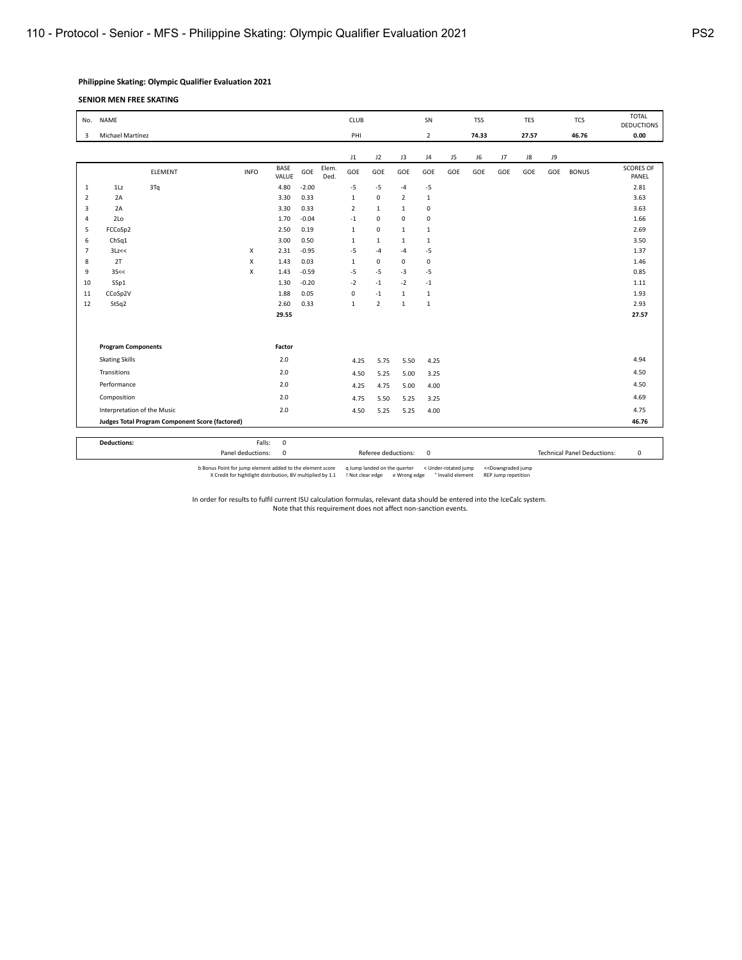## **Philippine Skating: Olympic Qualifier Evaluation 2021**

**SENIOR MEN FREE SKATING**

| <b>NAME</b><br>No. |                             |         |                                                        |                      |         | CLUB          |                |                |                |                | SN<br><b>TSS</b> |     |       | <b>TES</b> |     | <b>TCS</b>   | <b>TOTAL</b><br><b>DEDUCTIONS</b> |
|--------------------|-----------------------------|---------|--------------------------------------------------------|----------------------|---------|---------------|----------------|----------------|----------------|----------------|------------------|-----|-------|------------|-----|--------------|-----------------------------------|
| 3                  | Michael Martínez            |         | PHI                                                    |                      |         |               | $\overline{2}$ |                | 74.33          |                | 27.57            |     | 46.76 | 0.00       |     |              |                                   |
|                    |                             |         |                                                        |                      |         |               | J1             | J2             | J3             | J <sub>4</sub> | J5               | J6  | J7    | J8         | J9  |              |                                   |
|                    |                             | ELEMENT | <b>INFO</b>                                            | <b>BASE</b><br>VALUE | GOE     | Elem.<br>Ded. | GOE            | GOE            | GOE            | GOE            | GOE              | GOE | GOE   | GOE        | GOE | <b>BONUS</b> | <b>SCORES OF</b><br>PANEL         |
| 1                  | 1Lz                         | 3Tq     |                                                        | 4.80                 | $-2.00$ |               | $-5$           | $-5$           | $-4$           | $-5$           |                  |     |       |            |     |              | 2.81                              |
| $\overline{2}$     | 2A                          |         |                                                        | 3.30                 | 0.33    |               | $\mathbf{1}$   | $\pmb{0}$      | $\overline{2}$ | $\mathbf{1}$   |                  |     |       |            |     |              | 3.63                              |
| 3                  | 2A                          |         |                                                        | 3.30                 | 0.33    |               | $\overline{2}$ | $\mathbf{1}$   | 1              | $\mathbf 0$    |                  |     |       |            |     |              | 3.63                              |
| 4                  | 2Lo                         |         |                                                        | 1.70                 | $-0.04$ |               | $-1$           | 0              | $\mathbf 0$    | $\mathbf 0$    |                  |     |       |            |     |              | 1.66                              |
| 5                  | FCCoSp2                     |         |                                                        | 2.50                 | 0.19    |               | $\mathbf{1}$   | $\mathbf 0$    | 1              | $\mathbf{1}$   |                  |     |       |            |     |              | 2.69                              |
| 6                  | ChSq1                       |         |                                                        | 3.00                 | 0.50    |               | $\mathbf{1}$   | $\mathbf{1}$   | 1              | $\mathbf{1}$   |                  |     |       |            |     |              | 3.50                              |
| $\overline{7}$     | 3Lz<<                       |         | Х                                                      | 2.31                 | $-0.95$ |               | $-5$           | $-4$           | $-4$           | $-5$           |                  |     |       |            |     |              | 1.37                              |
| 8                  | 2T                          |         | X                                                      | 1.43                 | 0.03    |               | $\mathbf{1}$   | 0              | $\mathbf 0$    | $\mathbf 0$    |                  |     |       |            |     |              | 1.46                              |
| 9                  | 35 < c                      |         | X                                                      | 1.43                 | $-0.59$ |               | $-5$           | $-5$           | $-3$           | $-5$           |                  |     |       |            |     |              | 0.85                              |
| 10                 | SSp1                        |         |                                                        | 1.30                 | $-0.20$ |               | $-2$           | $-1$           | $-2$           | $-1$           |                  |     |       |            |     |              | 1.11                              |
| 11                 | CCoSp2V                     |         |                                                        | 1.88                 | 0.05    |               | $\mathbf 0$    | $-1$           | 1              | $\mathbf{1}$   |                  |     |       |            |     |              | 1.93                              |
| 12                 | StSq2                       |         |                                                        | 2.60                 | 0.33    |               | $\mathbf{1}$   | $\overline{2}$ | 1              | $\mathbf{1}$   |                  |     |       |            |     |              | 2.93                              |
|                    |                             |         |                                                        | 29.55                |         |               |                |                |                |                |                  |     |       |            |     |              | 27.57                             |
|                    |                             |         |                                                        |                      |         |               |                |                |                |                |                  |     |       |            |     |              |                                   |
|                    | <b>Program Components</b>   |         |                                                        |                      |         |               |                |                |                |                |                  |     |       |            |     |              |                                   |
|                    | <b>Skating Skills</b>       |         |                                                        | 2.0                  |         |               | 4.25           | 5.75           | 5.50           | 4.25           |                  |     |       |            |     |              | 4.94                              |
|                    | Transitions                 |         |                                                        | 2.0                  |         |               | 4.50           | 5.25           | 5.00           | 3.25           |                  |     |       |            |     |              | 4.50                              |
|                    | Performance                 |         |                                                        | 2.0                  |         |               | 4.25           | 4.75           | 5.00           | 4.00           |                  |     |       |            |     |              | 4.50                              |
|                    | Composition                 |         |                                                        | 2.0                  |         |               | 4.75           | 5.50           | 5.25           | 3.25           |                  |     |       |            |     |              | 4.69                              |
|                    | Interpretation of the Music |         |                                                        | 2.0                  |         |               | 4.50           | 5.25           | 5.25           | 4.00           |                  |     |       |            |     |              | 4.75                              |
|                    |                             |         | <b>Judges Total Program Component Score (factored)</b> |                      |         |               |                |                |                |                |                  |     |       |            |     | 46.76        |                                   |
|                    |                             |         |                                                        |                      |         |               |                |                |                |                |                  |     |       |            |     |              |                                   |

**Deductions:** Falls: 0<br>
Panel deductions: 0<br>
Panel deductions: 0 0 Referee deductions: 0 **Panel Deductions:** 0 **Technical Panel Deductions:** 0

b Bonus Point for jump element added to the element score qump landed on the querter < Under-rotated jump << Downgraded jump (Scredit for hightlight distribution, BV multiplied by 1.1 ! Not clear edge eWrong edge  $^{\circ}$  In

In order for results to fulfil current ISU calculation formulas, relevant data should be entered into the IceCalc system. Note that this requirement does not affect non-sanction events.